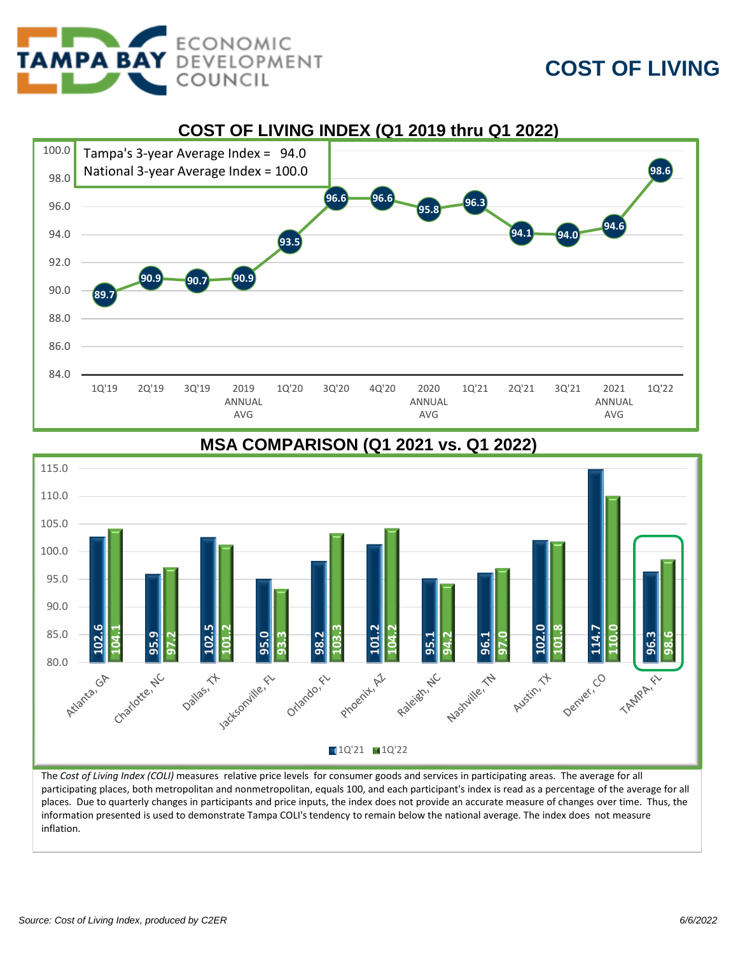

## **COST OF LIVING**



## 115.0 110.0 105.0 100.0 95.0 90.0 **102.6 102.5 104.1 101.2 104.2 102.0 101.8 110.0** 85.0 **95.9 98.2 95.0 114. 96.3 97.2 93.3 94.2 97.0 98.6 95.1 96.1 103.3 101.2** 80.0 - 62 t - sactionities Dentler, CO Charlotte, NC Program AZ Raleight NC Nastylike, 12 Austin, 11 Datas, Z Oriando, El TAMPA R.  $1Q'21$   $1Q'22$

**MSA COMPARISON (Q1 2021 vs. Q1 2022)**

The *Cost of Living Index (COLI)* measures relative price levels for consumer goods and services in participating areas. The average for all participating places, both metropolitan and nonmetropolitan, equals 100, and each participant's index is read as a percentage of the average for all places. Due to quarterly changes in participants and price inputs, the index does not provide an accurate measure of changes over time. Thus, the information presented is used to demonstrate Tampa COLI's tendency to remain below the national average. The index does not measure inflation.